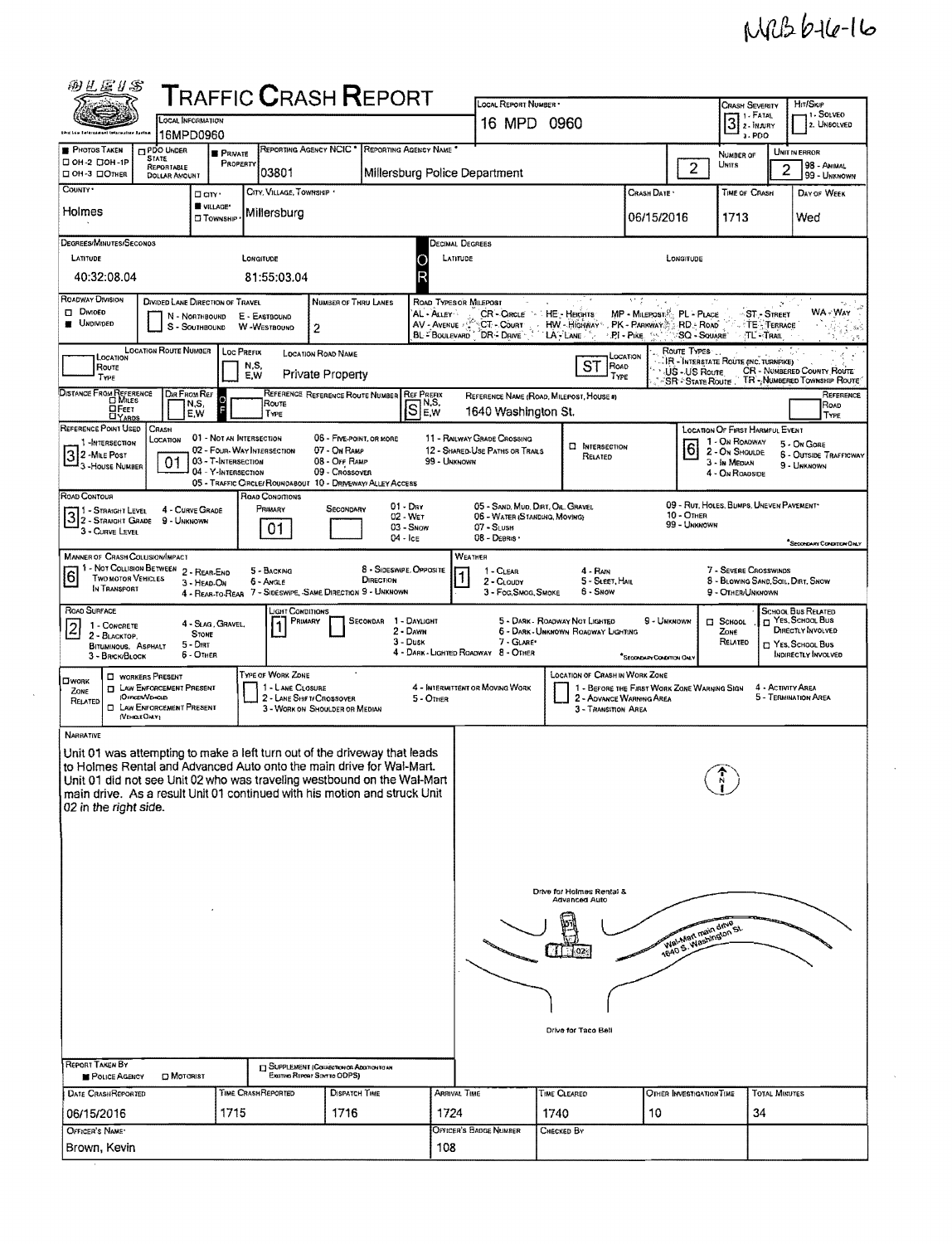## $M12616 - 16$

 $\hat{\mathcal{A}}$ 

| 网丝运业名                                                                                                                                                                                                                                                                                                                                                                                                                                                                                 |                                                                                                                                                                                                                                                                                                                                    |                                            |                                                                                           |                                                             |                 |                                       |                                                                                                                                                                                         |                                                              |                                                                         |                                                                                                    |                                                    |                   |                                                               |  |  |
|---------------------------------------------------------------------------------------------------------------------------------------------------------------------------------------------------------------------------------------------------------------------------------------------------------------------------------------------------------------------------------------------------------------------------------------------------------------------------------------|------------------------------------------------------------------------------------------------------------------------------------------------------------------------------------------------------------------------------------------------------------------------------------------------------------------------------------|--------------------------------------------|-------------------------------------------------------------------------------------------|-------------------------------------------------------------|-----------------|---------------------------------------|-----------------------------------------------------------------------------------------------------------------------------------------------------------------------------------------|--------------------------------------------------------------|-------------------------------------------------------------------------|----------------------------------------------------------------------------------------------------|----------------------------------------------------|-------------------|---------------------------------------------------------------|--|--|
|                                                                                                                                                                                                                                                                                                                                                                                                                                                                                       | <b>T</b> RAFFIC <b>C</b> RASH <b>R</b> EPORT<br><b>LOCAL INFORMATION</b>                                                                                                                                                                                                                                                           |                                            |                                                                                           |                                                             |                 |                                       | LOCAL REPORT NUMBER .<br>16 MPD 0960                                                                                                                                                    |                                                              |                                                                         | HIT/SKIP<br><b>CRASH SEVERITY</b><br>11 - Solveo<br>11 - FATAL<br>$3$ $\cdot$ Fatal<br>2. UNSOLVED |                                                    |                   |                                                               |  |  |
| Ehid Law Enternament Intacumises Apetam<br><b>PHOTOS TAKEN</b>                                                                                                                                                                                                                                                                                                                                                                                                                        | 16MPD0960<br>REPORTING AGENCY NCIC <sup>*</sup><br>REPORTING AGENCY NAME<br><b>PDO UNDER</b><br><b>PRIVATE</b>                                                                                                                                                                                                                     |                                            |                                                                                           |                                                             |                 |                                       |                                                                                                                                                                                         |                                                              |                                                                         |                                                                                                    | $3 - PDO$<br><b>NUMBER OF</b>                      |                   | UNIT IN ERROR                                                 |  |  |
| □ ОН-2 □ ОН-1Р<br>□ OH-3 □ Отнєп                                                                                                                                                                                                                                                                                                                                                                                                                                                      | <b>STATE</b><br>REPORTABLE<br><b>DOLLAR AMOUNT</b>                                                                                                                                                                                                                                                                                 | PROPERTY                                   | 03801                                                                                     |                                                             |                 | Millersburg Police Department         |                                                                                                                                                                                         |                                                              |                                                                         | $\overline{c}$                                                                                     | UNITS                                              | 2                 | 98 - AHIMAL<br>99 - UNKNOWN                                   |  |  |
| COUNTY .                                                                                                                                                                                                                                                                                                                                                                                                                                                                              |                                                                                                                                                                                                                                                                                                                                    | D ciry ·                                   | CITY, VILLAGE, TOWNSHIP *                                                                 |                                                             |                 |                                       |                                                                                                                                                                                         |                                                              | CRASH DATE *                                                            | TIME OF CRASH                                                                                      |                                                    | DAY OF WEEK       |                                                               |  |  |
| Holmes                                                                                                                                                                                                                                                                                                                                                                                                                                                                                |                                                                                                                                                                                                                                                                                                                                    | WILLAGE*<br><b>CI TOWNSHIP</b>             | Millersburg                                                                               |                                                             |                 |                                       | 06/15/2016<br>1713                                                                                                                                                                      |                                                              |                                                                         |                                                                                                    |                                                    |                   |                                                               |  |  |
| Degrees/MINUTES/Seconos                                                                                                                                                                                                                                                                                                                                                                                                                                                               |                                                                                                                                                                                                                                                                                                                                    |                                            |                                                                                           |                                                             |                 |                                       | Decimal Degrees                                                                                                                                                                         |                                                              |                                                                         |                                                                                                    |                                                    |                   |                                                               |  |  |
| LATITUDE<br>40:32:08.04                                                                                                                                                                                                                                                                                                                                                                                                                                                               |                                                                                                                                                                                                                                                                                                                                    |                                            | LONGITUDE<br>81:55:03.04                                                                  |                                                             | LATITUDE        |                                       |                                                                                                                                                                                         | LONGITUDE                                                    |                                                                         |                                                                                                    |                                                    |                   |                                                               |  |  |
| ROADWAY DIVISION                                                                                                                                                                                                                                                                                                                                                                                                                                                                      |                                                                                                                                                                                                                                                                                                                                    |                                            |                                                                                           |                                                             |                 |                                       |                                                                                                                                                                                         |                                                              | ЪY,                                                                     |                                                                                                    |                                                    |                   |                                                               |  |  |
| DIVIDED LANE DIRECTION OF TRAVEL<br>NUMBER OF THRU LANES<br>Road Types or Milepost<br>Þ.<br>DivioED<br>MP - MILEPOST PL - PLACE<br>AL - ALLEY<br>CR - CIRCLE<br>HE - HEGHTS<br><b>ST-STREET</b><br>N - NORTHBOUND<br>E - EASTBOUND<br><b>UNDIVIDED</b><br>AV - Avenue<br>∶CT⊶Còurr ∶<br>HW - HIGHWAY - PK - PARKWAY - RD - ROAD<br>TE - TERRACE<br>W-WESTBOUND<br>S - SOUTHBOUND<br>$\overline{2}$<br>DR DRIVE<br>$LA - LANE$<br>∴PI - Pike.<br>SQ - SOUARE<br>$TL = T_{RAL}$<br>YAK, |                                                                                                                                                                                                                                                                                                                                    |                                            |                                                                                           |                                                             |                 |                                       |                                                                                                                                                                                         |                                                              |                                                                         |                                                                                                    |                                                    | WA : Way          |                                                               |  |  |
| <b>LOCATION ROUTE NUMBER</b><br>ROUTE TYPES<br>Loc Prefix<br>s.<br><b>LOCATION ROAD NAME</b><br>LOCATION<br>LOCATION<br>IR - INTERSTATE ROUTE (INC. TURNPIKE)<br>ST<br>N, S,<br><b>ROAD</b><br>ROUTE<br>CR - NUMBERED COUNTY ROUTE                                                                                                                                                                                                                                                    |                                                                                                                                                                                                                                                                                                                                    |                                            |                                                                                           |                                                             |                 |                                       |                                                                                                                                                                                         |                                                              |                                                                         |                                                                                                    |                                                    |                   |                                                               |  |  |
| TYPE<br>DISTANCE FROM REFERENCE                                                                                                                                                                                                                                                                                                                                                                                                                                                       | Dir From Ref                                                                                                                                                                                                                                                                                                                       |                                            | E.W                                                                                       | Private Property<br>REFERENCE REFERENCE ROUTE NUMBER        |                 | <b>REF PREFIX</b>                     |                                                                                                                                                                                         | Type<br>REFERENCE NAME (ROAD, MILEPOST, HOUSE #)             |                                                                         | US - US Route<br><b>SR - STATE ROUTE</b>                                                           |                                                    |                   | TR - NUMBERED TOWNSHIP ROUTE<br>Reference                     |  |  |
| <b>DFEET</b>                                                                                                                                                                                                                                                                                                                                                                                                                                                                          |                                                                                                                                                                                                                                                                                                                                    | ူ<br>N,S,<br>E,W                           | Route<br>TYPE                                                                             |                                                             |                 | IN,S,<br>S<br>E,W                     | 1640 Washington St.                                                                                                                                                                     |                                                              |                                                                         |                                                                                                    |                                                    |                   | ROAD<br>TYPE                                                  |  |  |
| REFERENCE POINT USED<br>1-INTERSECTION                                                                                                                                                                                                                                                                                                                                                                                                                                                | CRASH<br><b>LOCATION</b>                                                                                                                                                                                                                                                                                                           | 01 - NOT AN INTERSECTION                   |                                                                                           | 06 - FIVE-POINT, OR MORE                                    |                 |                                       | 11 - RAILWAY GRADE CROSSING                                                                                                                                                             |                                                              |                                                                         |                                                                                                    | LOCATION OF FIRST HARMFUL EVENT<br>1 - On ROADWAY  |                   | 5 - On Gore                                                   |  |  |
| 32 - Mile Post<br>3 - House NUMBER                                                                                                                                                                                                                                                                                                                                                                                                                                                    | 01                                                                                                                                                                                                                                                                                                                                 | 03 - T-INTERSECTION<br>04 - Y-INTERSECTION | 02 - Four-Way Intersection<br>05 - TRAFFIC CIRCLE/ ROUNDABOUT 10 - DRIVEWAY/ ALLEY ACCESS | 07 - On Ramp<br>08 - Off RAMP<br>09 - CROSSOVER             |                 | 99 - Unknown                          | 12 - SHARED-USE PATHS OR TRAILS                                                                                                                                                         | <b>El INTERSECTION</b><br>RELATED                            |                                                                         | $\overline{6}$                                                                                     | 2 - ON SHOULDE<br>3 - In MEDIAN<br>4 - On ROADSIDE |                   | <b>6 - OUTSIDE TRAFFICWAY</b><br>9 - UNKNOWN                  |  |  |
| ROAD CONTOUR                                                                                                                                                                                                                                                                                                                                                                                                                                                                          |                                                                                                                                                                                                                                                                                                                                    | 4 - CURVE GRADE                            | ROAD CONDITIONS<br>PRIMARY                                                                | SECONDARY                                                   |                 | $01 - \text{Dar}$                     | 05 - SAND, MUD, DIRT, OIL, GRAVEL                                                                                                                                                       |                                                              |                                                                         |                                                                                                    | 09 - RUT, HOLES, BUMPS, UNEVEN PAVEMENT*           |                   |                                                               |  |  |
| 3 2 - STRAIGHT LEVEL<br>3 2 - STRAIGHT GRADE<br>3 - CURVE LEVEL                                                                                                                                                                                                                                                                                                                                                                                                                       | 9 - UNKNOWN                                                                                                                                                                                                                                                                                                                        |                                            | 01                                                                                        |                                                             |                 | 02 - WET<br>$03 -$ SNow<br>$04 -$ Ice | 06 - WATER (STANDING, MOVING)<br>$07 - S$ LUSH<br>08 - DEBRIS                                                                                                                           |                                                              |                                                                         | $10 -$ OTHER<br>99 - Unknown                                                                       |                                                    |                   | SECONDARY CONDITION ONLY                                      |  |  |
| <b>MANNER OF CRASH COLLISION/IMPACT</b><br>1 - NOT COLLISION BETWEEN<br>$\overline{6}$<br><b>TWO MOTOR VEHICLES</b><br>IN TRANSPORT                                                                                                                                                                                                                                                                                                                                                   |                                                                                                                                                                                                                                                                                                                                    | 2 - REAR-END<br>3 - HEAD-ON                | 5 - BACKING<br>6 - Awgle<br>4 - REAR-TO-REAR 7 - SIDESWIPE, -SAME DIRECTION 9 - UNKNOWN   |                                                             | DIRECTION       | 8 - SIDESWIPE, OPPOSITE               | WEATHER<br>7 - Severe Crosswinds<br>1 - CLEAR<br>4 - RAIN<br>5 - SLEET, HAIL<br>8 - BLOWING SAND, SOIL, DIRT, SNOW<br>2 - CLOUDY<br>6 - Snow<br>3 - Fog Smog Smoke<br>9 - OTHER/UNKNOWN |                                                              |                                                                         |                                                                                                    |                                                    |                   |                                                               |  |  |
| ROAD SURFACE<br>1 - CONCRETE                                                                                                                                                                                                                                                                                                                                                                                                                                                          |                                                                                                                                                                                                                                                                                                                                    | 4 - SLAG, GRAVEL,                          | Light Conditions<br>PRIMARY                                                               |                                                             | <b>SECONDAR</b> | 1 - DAYLIGHT                          |                                                                                                                                                                                         | 5 - DARK - ROADWAY NOT LIGHTED                               | 9 - UNKNOWN                                                             |                                                                                                    | $\Box$ School                                      |                   | SCHOOL BUS RELATED<br>□ Yes, School Bus                       |  |  |
| 2<br>2 - BLACKTOP.<br>BITUMINOUS, ASPHALT<br>3 - BRICK/BLOCK                                                                                                                                                                                                                                                                                                                                                                                                                          |                                                                                                                                                                                                                                                                                                                                    | <b>STONE</b><br>5 - Dirt<br>6 - OTHER      |                                                                                           |                                                             |                 | 2 - DAWN<br>3 - Dusk                  | 7 - GLARE<br>4 - DARK - LIGHTED ROADWAY 8 - OTHER                                                                                                                                       | 6 - DARK - UNKNOWN ROADWAY LIGHTING                          | <sup>*</sup> Secondary Condition Only                                   |                                                                                                    | ZONE<br>Related                                    |                   | DIRECTLY INVOLVED<br>T YES, SCHOOL BUS<br>INDIRECTLY INVOLVED |  |  |
| <b>OWORK</b><br>ZONE<br>RELATED                                                                                                                                                                                                                                                                                                                                                                                                                                                       | WORKERS PRESENT<br><b>I LAW ENFORCEMENT PRESENT</b><br>(OFFICER/VEHICLE)<br><b>E LAW ENFORCEMENT PRESENT</b><br>(VEHICLE OHLY)                                                                                                                                                                                                     |                                            | TYPE OF WORK ZONE<br>1 - LANE CLOSURE                                                     | 2 - LANE SHIFT/ CROSSOVER<br>3 - WORK ON SHOULDER OR MEDIAN |                 | 5 - OTHER                             | 4 - INTERMITTENT OR MOVING WORK                                                                                                                                                         | <b>LOCATION OF CRASH IN WORK ZONE</b><br>3 - Transition Area | 1 - BEFORE THE FIRST WORK ZONE WARNING SIGN<br>2 - ADVANCE WARNING AREA |                                                                                                    |                                                    | 4 - ACTIVITY AREA | 5 - TERMINATION AREA                                          |  |  |
| <b>NARRATIVE</b>                                                                                                                                                                                                                                                                                                                                                                                                                                                                      | Unit 01 was attempting to make a left turn out of the driveway that leads<br>to Holmes Rental and Advanced Auto onto the main drive for Wal-Mart.<br>Unit 01 did not see Unit 02 who was traveling westbound on the Wal-Mart<br>main drive. As a result Unit 01 continued with his motion and struck Unit<br>02 in the right side. |                                            |                                                                                           |                                                             |                 |                                       |                                                                                                                                                                                         |                                                              |                                                                         |                                                                                                    |                                                    |                   |                                                               |  |  |
| Drive for Holmes Rental &                                                                                                                                                                                                                                                                                                                                                                                                                                                             |                                                                                                                                                                                                                                                                                                                                    |                                            |                                                                                           |                                                             |                 |                                       |                                                                                                                                                                                         |                                                              |                                                                         |                                                                                                    |                                                    |                   |                                                               |  |  |
|                                                                                                                                                                                                                                                                                                                                                                                                                                                                                       |                                                                                                                                                                                                                                                                                                                                    |                                            |                                                                                           |                                                             |                 |                                       | Advanced Auto                                                                                                                                                                           |                                                              |                                                                         |                                                                                                    |                                                    |                   |                                                               |  |  |
|                                                                                                                                                                                                                                                                                                                                                                                                                                                                                       |                                                                                                                                                                                                                                                                                                                                    |                                            |                                                                                           |                                                             |                 |                                       | Wal-Man main drive<br>Walter Weshington St.                                                                                                                                             |                                                              |                                                                         |                                                                                                    |                                                    |                   |                                                               |  |  |
|                                                                                                                                                                                                                                                                                                                                                                                                                                                                                       |                                                                                                                                                                                                                                                                                                                                    |                                            |                                                                                           |                                                             |                 |                                       |                                                                                                                                                                                         |                                                              |                                                                         |                                                                                                    |                                                    |                   |                                                               |  |  |
|                                                                                                                                                                                                                                                                                                                                                                                                                                                                                       |                                                                                                                                                                                                                                                                                                                                    |                                            |                                                                                           |                                                             |                 |                                       |                                                                                                                                                                                         |                                                              |                                                                         |                                                                                                    |                                                    |                   |                                                               |  |  |
|                                                                                                                                                                                                                                                                                                                                                                                                                                                                                       |                                                                                                                                                                                                                                                                                                                                    |                                            |                                                                                           |                                                             |                 |                                       |                                                                                                                                                                                         |                                                              |                                                                         |                                                                                                    |                                                    |                   |                                                               |  |  |
|                                                                                                                                                                                                                                                                                                                                                                                                                                                                                       |                                                                                                                                                                                                                                                                                                                                    |                                            |                                                                                           |                                                             |                 |                                       | Drive for Taco Bell                                                                                                                                                                     |                                                              |                                                                         |                                                                                                    |                                                    |                   |                                                               |  |  |
| REPORT TAKEN BY                                                                                                                                                                                                                                                                                                                                                                                                                                                                       |                                                                                                                                                                                                                                                                                                                                    |                                            |                                                                                           | <b>IN SUPPLEMENT (COGRECTION OF ADDITION TO AN</b>          |                 |                                       |                                                                                                                                                                                         |                                                              |                                                                         |                                                                                                    |                                                    |                   |                                                               |  |  |
| Existing Report Sent to ODPS)<br>POLICE AGENCY<br><b>D</b> Motorist<br>TIME CRASHREPORTED<br>DISPATCH TIME<br>Arrival Time<br>TIME CLEARED<br><b>DATE CRASHREPORTED</b>                                                                                                                                                                                                                                                                                                               |                                                                                                                                                                                                                                                                                                                                    |                                            |                                                                                           |                                                             |                 |                                       |                                                                                                                                                                                         |                                                              |                                                                         | <b>TOTAL MINUTES</b><br>OTHER INVESTIGATION TIME                                                   |                                                    |                   |                                                               |  |  |
| 06/15/2016                                                                                                                                                                                                                                                                                                                                                                                                                                                                            |                                                                                                                                                                                                                                                                                                                                    | 1715                                       |                                                                                           | 1716                                                        |                 | 1724                                  |                                                                                                                                                                                         | 1740                                                         | 10                                                                      |                                                                                                    | 34                                                 |                   |                                                               |  |  |
| OFFICER'S NAME                                                                                                                                                                                                                                                                                                                                                                                                                                                                        |                                                                                                                                                                                                                                                                                                                                    |                                            |                                                                                           |                                                             |                 |                                       | Officer's Badge Number                                                                                                                                                                  | CHECKED BY                                                   |                                                                         |                                                                                                    |                                                    |                   |                                                               |  |  |
| Brown, Kevin                                                                                                                                                                                                                                                                                                                                                                                                                                                                          |                                                                                                                                                                                                                                                                                                                                    |                                            |                                                                                           |                                                             |                 | 108                                   |                                                                                                                                                                                         |                                                              |                                                                         |                                                                                                    |                                                    |                   |                                                               |  |  |

 $\ddot{\phantom{a}}$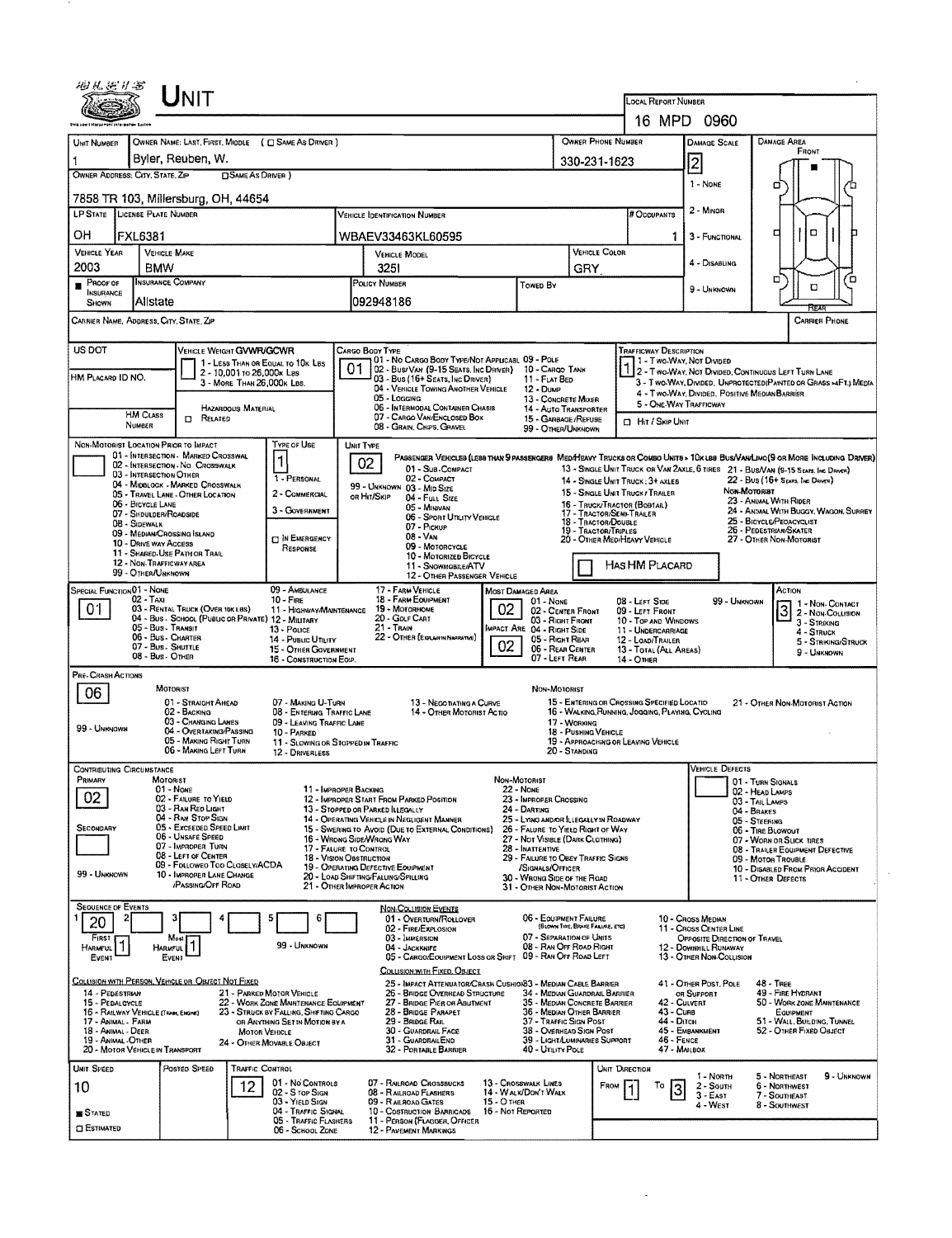| UNIT                                                                                                                                                                                                               |                                                                                                                                                     | LOCAL REPORT NUMBER                                                                             |                                                                                                                               |  |  |  |  |  |  |
|--------------------------------------------------------------------------------------------------------------------------------------------------------------------------------------------------------------------|-----------------------------------------------------------------------------------------------------------------------------------------------------|-------------------------------------------------------------------------------------------------|-------------------------------------------------------------------------------------------------------------------------------|--|--|--|--|--|--|
|                                                                                                                                                                                                                    |                                                                                                                                                     |                                                                                                 | 16 MPD 0960                                                                                                                   |  |  |  |  |  |  |
| OWNER NAME: LAST, FIRST, MIDDLE ( C SAME AS DRIVER )<br>UNIT NUMBER                                                                                                                                                | OWNER PHONE NUMBER                                                                                                                                  | DAMAGE AREA<br>DAMAGE SCALE<br>FRONT                                                            |                                                                                                                               |  |  |  |  |  |  |
| Byler, Reuben, W.<br>1<br>OWNER ADDRESS: CITY, STATE, ZIP<br><b>DSAME AS DRIVER</b> )                                                                                                                              |                                                                                                                                                     | 330-231-1623                                                                                    | $\overline{2}$                                                                                                                |  |  |  |  |  |  |
| 7858 TR 103, Millersburg, OH, 44654                                                                                                                                                                                |                                                                                                                                                     | 1 - None<br>□                                                                                   |                                                                                                                               |  |  |  |  |  |  |
| LP STATE LICENSE PLATE NUMBER                                                                                                                                                                                      | # Occupants                                                                                                                                         | $2 -$ Minor                                                                                     |                                                                                                                               |  |  |  |  |  |  |
| он<br>FXL6381                                                                                                                                                                                                      | WBAEV33463KL60595                                                                                                                                   | 1.                                                                                              | $\Box$<br>□<br>3 - FUNCTIONAL                                                                                                 |  |  |  |  |  |  |
| VEHICLE YEAR<br><b>VEHICLE MAKE</b>                                                                                                                                                                                | VEHICLE MODEL                                                                                                                                       | VEHICLE COLOR                                                                                   |                                                                                                                               |  |  |  |  |  |  |
| 2003<br><b>BMW</b><br><b>INSURANCE COMPANY</b><br>$P$ ROOF OF                                                                                                                                                      | 3251<br><b>POLICY NUMBER</b>                                                                                                                        | GRY                                                                                             | 4 - DISABUNG<br>□                                                                                                             |  |  |  |  |  |  |
| INSURANCE<br>Allstate<br>SHOWN                                                                                                                                                                                     | <b>TOWED BY</b><br>092948186                                                                                                                        |                                                                                                 | O<br>9 - UNKNOWN                                                                                                              |  |  |  |  |  |  |
| CARRIER NAME, ADDRESS, CITY, STATE, ZIP                                                                                                                                                                            |                                                                                                                                                     |                                                                                                 | <b>CARRIER PHONE</b>                                                                                                          |  |  |  |  |  |  |
| <b>US DOT</b><br>VEHICLE WEIGHT GVWFUGCWR                                                                                                                                                                          | CARGO BODY TYPE                                                                                                                                     | <b>TRAFFICWAY DESCRIPTION</b>                                                                   |                                                                                                                               |  |  |  |  |  |  |
| 1 - LESS THAN OR EQUAL TO 10K LBS<br>2 - 10,001 to 26,000x Las<br>HM PLACARD ID NO.                                                                                                                                | 01 - No CARGO BODY TYPE/NOT APPLICABL 09 - POLE<br>01<br>02 - Bus/Van (9-15 Seats, Inc Driver)<br>03 - Bus (16+ Seats, Inc Driver)<br>11 - FLAT BED | - Two-Way, Not Divided<br>10 - CARGO TANK                                                       | 2 - TWO-WAY, NOT DIVIDED, CONTINUOUS LEFT TURN LANE                                                                           |  |  |  |  |  |  |
| 3 - MORE THAN 26,000K LBS.                                                                                                                                                                                         | 04 - VEHICLE TOWING ANOTHER VEHICLE<br>$12 - D$ uм $P$<br>05 - Logging                                                                              | 13 - CONCRETE MIXER                                                                             | 3 - Two-WAY, DIVIDED, UNPROTECTED(PAINTED OR GRASS >4FT.) MEDIA<br>4 - Two-Way, Divided, Positive Median Barrier              |  |  |  |  |  |  |
| HAZARDOUS MATERIAL<br><b>HM CLASS</b><br>$\Box$ Related                                                                                                                                                            | 06 - INTERMODAL CONTAINER CHASIS<br>07 - CARGO VAN/ENCLOSED BOX                                                                                     | 14 - Auto Transporter<br>15 - GARBAGE / REFUSE<br><b>D</b> Hit / Skip Unit                      | 5 - ONE-WAY TRAFFICWAY                                                                                                        |  |  |  |  |  |  |
| NUMBER                                                                                                                                                                                                             | 08 - GRAIN, CHPS, GRAVEL                                                                                                                            | 99 - OTHER/UNKNOWN                                                                              |                                                                                                                               |  |  |  |  |  |  |
| NON-MOTORIST LOCATION PRIOR TO IMPACT<br>Type of Use<br>01 - INTERSECTION - MARKED CROSSWAL                                                                                                                        | UNIT TYPE<br>02                                                                                                                                     |                                                                                                 | PASSENGER VEHICLES (LESS THAN 9 PASSENGERS MED/HEAVY TRUCKS OR COMBO UNITS * 10K LBS BUS/VAN/LIMO(9 OR MORE INCLUDING DRIVER) |  |  |  |  |  |  |
| 02 - INTERSECTION - NO CROSSWALK<br>03 - INTERSECTION OTHER<br>1 - PERSONAL<br>04 - MIDBLOCK - MARKED CROSSWALK                                                                                                    | 01 - Sub-Compact<br>02 - COMPACT                                                                                                                    | 14 - SINGLE UNIT TRUCK ; 3+ AXLES                                                               | 13 - SINGLE UNIT TRUCK OR VAN ZAXLE, 6 TIRES 21 - BUS/VAN (9-15 SEATS, INC DRIVER)<br>22 - BUS (16+ SEATS, INC DENER)         |  |  |  |  |  |  |
| 2 - COMMERCIAL<br>05 - TRAVEL LANE - OTHER LOCATION<br>06 - BICYCLE LANE                                                                                                                                           | 99 - UNKNOWN 03 - MID SIZE<br>OR HIT/SKIP<br>04 - Full Size                                                                                         | 15 - SINGLE UNIT TRUCK / TRAILER<br>16 - TRUCK/TRACTOR (BOBTAIL)                                | Non-Motoriat<br>23 - ANIMAL WITH RIDER                                                                                        |  |  |  |  |  |  |
| 3 - COVERNMENT<br>07 - SHDULDER/ROADSIDE<br>08 - Sidewalk                                                                                                                                                          | 05 - Mindvan<br>06 - Sport Utility Vehicle                                                                                                          | 17 - TRACTOR/SEMI-TRAILER<br>18 - TRACTOR/DOUBLE                                                | 24 - ANIMAL WITH BUGGY, WAGON, SURREY<br>25 - BICYCLE/PEDACYCLIST                                                             |  |  |  |  |  |  |
| 09 - MEDIAN/CROSSING ISLAND<br><b>C IN EMERGENCY</b><br>10 - DRIVE WAY ACCESS                                                                                                                                      | 07 - PICKUP<br>08 - VAN<br>09 - MOTORCYCLE                                                                                                          | 19 - TRACTOR/TRIPLES<br>20 - OTHER MEDIHEAVY VEHICLE                                            | 26 - PEDESTRIAN/SKATER<br>27 - OTHER NON-MOTORIST                                                                             |  |  |  |  |  |  |
| RESPONSE<br>11 - SHARED-USE PATH OR TRAIL<br>12 - NON-TRAFFICWAY AREA                                                                                                                                              | 10 - MOTORIZED BICYCLE<br>11 - SNOWMOBILE/ATV                                                                                                       | HAS HM PLACARD                                                                                  |                                                                                                                               |  |  |  |  |  |  |
| 99 - OTHER/UNKNOWN<br>09 - AMBULANCE                                                                                                                                                                               | 12 - OTHER PASSENGER VEHICLE<br>17 - FARM VEHICLE                                                                                                   |                                                                                                 | Астюн                                                                                                                         |  |  |  |  |  |  |
| SPECIAL FUNCTION 01 - NONE<br>$02 - TAXI$<br>$10 -$ Fire<br>01<br>03 - RENTAL TRUCK (OVER 10K LBS)<br>11 - HIGHWAYMAINTENANCE                                                                                      | MOST DAMAGED AREA<br>18 - FARM EQUIPMENT<br>01 - None<br>02<br>19 - MOTORHOME                                                                       | 08 - Left Side<br>02 - CENTER FRONT<br>09 - LEFT FRONT                                          | 99 - UNKNOWN<br>1 - Non- Contact                                                                                              |  |  |  |  |  |  |
| 04 - Bus - SCHOOL (PUBLIC OR PRIVATE) 12 - MILITARY<br>05 - Bus - Transit<br>13 - Pouce                                                                                                                            | 20 - Golf Cart<br>21 - Train<br><b>IMPACT ARE 04 - RIGHT SIDE</b>                                                                                   | 03 - Right Front<br>10 - TOP AND WINDOWS<br>11 - UNDERCARRIAGE                                  | $\overline{3}$<br>2 - NON-COLLISION<br>3 - Striking<br>$4 -$ STRUCK                                                           |  |  |  |  |  |  |
| 06 - Bus - Charter<br>14 - PUBLIC UTILITY<br>07 - Bus. SHUTTLE<br>15 - OTHER GOVERNMENT                                                                                                                            | 22 - OTHER (EXPLANTIA NARRATIVE)<br>02                                                                                                              | 05 - Right Rear<br>12 - LOAD/TRAILER<br>06 - REAR CENTER<br>13 - TOTAL (ALL AREAS)              | 5 - STRIKING/STRUCK<br>9 - UNKNOWN                                                                                            |  |  |  |  |  |  |
| 08 - Bus - OTHER<br>16 - CONSTRUCTION EOIP.                                                                                                                                                                        |                                                                                                                                                     | 07 - LEFT REAR<br>14 - Отнев                                                                    |                                                                                                                               |  |  |  |  |  |  |
| PRE- CRASH ACTIONS<br>MOTORIST<br>06                                                                                                                                                                               |                                                                                                                                                     | NON-MOTORIST                                                                                    |                                                                                                                               |  |  |  |  |  |  |
| 01 - STRAIGHT AHEAD<br>07 - MAKING U-TURN<br>02 - BACKING<br>08 - ENTERING TRAFFIC LANE                                                                                                                            | 13 - Negotiathng a Curve<br>14 - OTHER MOTORIST ACTIO                                                                                               | 15 - ENTERING OR CROSSING SPECIFIED LOCATIO<br>16 - WALKING, RUNNING, JOGGING, PLAYING, CYCLING | 21 - OTHER NON-MOTORIST ACTION                                                                                                |  |  |  |  |  |  |
| 03 - CHANGING LANES<br>09 - LEAVING TRAFFIC LANE<br>99 - Unknown<br>04 - OVERTAKING/PASSING<br>10 PARKED                                                                                                           |                                                                                                                                                     | 17 - WORKING<br>18 - PUSHING VEHICLE                                                            |                                                                                                                               |  |  |  |  |  |  |
| 05 - MAKING RIGHT TURN<br>06 - MAKING LEFT TURN<br>12 - DRIVERLESS                                                                                                                                                 | 11 - SLOWING OR STOPPED IN TRAFFIC                                                                                                                  | 19 - APPROACHING OR LEAVING VEHICLE<br>20 - STANDING                                            |                                                                                                                               |  |  |  |  |  |  |
| <b>CONTRIBUTING CIRCUMSTANCE</b><br>Primary<br>MOTORIST                                                                                                                                                            | Non-Motorist                                                                                                                                        |                                                                                                 | <b>VEHICLE DEFECTS</b><br>01 - TURN SIGNALS                                                                                   |  |  |  |  |  |  |
| 01 - None<br>02<br>02 - FAILURE TO YIELD                                                                                                                                                                           | 11 - IMPROPER BACKING<br><b>22 - NONE</b><br>12 - IMPROPER START FROM PARKED POSITION<br>23 - IMPROPER CROSSING                                     |                                                                                                 | 02 - HEAD LAMPS<br>03 - TAIL LAMPS                                                                                            |  |  |  |  |  |  |
| 03 - RAN REO LIGHT<br>04 - Ran Stop Sign                                                                                                                                                                           | 13 - STOPPED OR PARKED ILLEGALLY<br>24 - DARTING<br>14 - OPERATING VEHICLE IN NEGLIGENT MANNER                                                      | 25 - LYING AND/OR ILLEGALLY IN ROADWAY                                                          | 04 - BRAKES<br>05 - STEERING                                                                                                  |  |  |  |  |  |  |
| 05 - Exceeded Speed Limit<br>SECONDARY<br>06 - Unsafe Speed<br>07 - IMPROPER TURN                                                                                                                                  | 15 - SWERING TO AVOID (DUE TO EXTERNAL CONDITIONS)<br>16 - WRONG SIDE/WRONG WAY                                                                     | 26 - FALURE TO YIELD RIGHT OF WAY<br>27 - Not Visible (Dark Clothing)                           | 06 - TIRE BLOWOUT<br>07 - WORN OR SLICK TIRES                                                                                 |  |  |  |  |  |  |
| 08 - LEFT OF CENTER<br>09 - Followeo Too Closely/ACDA                                                                                                                                                              | 17 - FALURE TO CONTROL<br>28 - INATTENTIVE<br>18 - VISION OBSTRUCTION<br>19 - OPERATING DEFECTIVE EQUIPMENT                                         | 29 - FAILURE TO OBEY TRAFFIC SIGNS                                                              | 08 - TRAILER EQUIPMENT DEFECTIVE<br>09 - MOTOR TROUBLE                                                                        |  |  |  |  |  |  |
| 99 - UNKNOWN<br>10 - IMPROPER LANE CHANGE<br>/PASSING/OFF ROAD                                                                                                                                                     | /Signals/Officer<br>20 - LOAD SHIFTING/FALLING/SPILLING<br>21 - OTHER IMPROPER ACTION                                                               | 30 - WRONG SIDE OF THE ROAD<br>31 - OTHER NON-MOTORIST ACTION                                   | 10 - DISABLED FROM PRIOR ACCIDENT<br>11 - OTHER DEFECTS                                                                       |  |  |  |  |  |  |
| <b>SEQUENCE OF EVENTS</b>                                                                                                                                                                                          | NON-COLLISION EVENTS                                                                                                                                |                                                                                                 |                                                                                                                               |  |  |  |  |  |  |
| 6<br>20                                                                                                                                                                                                            | 01 - OVERTURN/ROLLOVER<br>02 - FIRE/EXPLOSION                                                                                                       | 06 - EQUIPMENT FAILURE<br>(BLOWN TIRE, BRAKE FAILURE, ETC)                                      | 10 - Cross Median<br>11 - Cross Center Line                                                                                   |  |  |  |  |  |  |
| FIRST<br>Most<br>99 - Unknown<br><b>HARMFUL</b><br>Harmful                                                                                                                                                         | 03 - IMMERSION<br>04 - JACKKNIFE                                                                                                                    | 07 - SEPARATION OF UNITS<br>08 - RAN OFF ROAD RIGHT                                             | OPPOSITE DIRECTION OF TRAVEL<br>12 - DOWNHILL RUNAWAY                                                                         |  |  |  |  |  |  |
| EVENT<br>EVENT                                                                                                                                                                                                     | 05 - CARGO/EQUIPMENT LOSS OR SHIFT 09 - RAN OFF ROAD LEFT<br>COLLISION WITH FIXED, OBJECT                                                           |                                                                                                 | 13 - OTHER NON-COLLISION                                                                                                      |  |  |  |  |  |  |
| COLLISION WITH PERSON, VEHICLE OR OBJECT NOT FIXED<br>14 - PEDESTRIAN<br>21 - PARKED MOTOR VEHICLE                                                                                                                 | 25 - IMPACT ATTENUATOR/CRASH CUSHION33 - MEDIAN CABLE BARRIER<br>26 - BRIDGE OVERHEAD STRUCTURE                                                     | 34 - MEDIAN GUARDRAIL BARRIER                                                                   | 41 - OTHER POST, POLE<br>48 - TREE<br>49 - FIRE HYDRANT                                                                       |  |  |  |  |  |  |
| 22 - WORK ZONE MAINTENANCE EQUIPMENT<br>15 - PEDALCYCLE<br>16 - RAILWAY VEHICLE (TRAN, ENGINE)<br>23 - STRUCK BY FALLING, SHIFTING CARGO                                                                           | 27 - BRIDGE PIER OR ABUTMENT<br>28 - BRIDGE PARAPET                                                                                                 | 35 - MEDIAN CONCRETE BARRIER<br>43 - Cuns<br>36 - MEDIAN OTHER BARRIER                          | OR SUPPORT<br>42 - Culvent<br>50 - WORK ZONE MAINTENANCE<br>EQUIPMENT                                                         |  |  |  |  |  |  |
| 17 - ANIMAL - FARM<br>OR ANYTHING SET IN MOTION BY A<br>18 - ANIMAL - DEER<br><b>MOTOR VEHICLE</b>                                                                                                                 | 29 - BRIDGE RAIL<br>30 - GUARDRAIL FACE                                                                                                             | 44 - Олсн<br>37 - TRAFFIC SIGN POST<br>38 - Overhead Sign Post                                  | 51 - WALL, BUILDING, TUNNEL<br>45 - Емванкмент<br>52 - OTHER FIXED OBJECT                                                     |  |  |  |  |  |  |
| 46 - FENCE<br>39 - LIGHT/LUMINARIES SUPPORT<br>19 - ANIMAL -OTHER<br>31 - GUARDRAILEND<br>24 - OTHER MOVABLE OBJECT<br>47 - MAILBOX<br>20 - MOTOR VEHICLE IN TRANSPORT<br>40 - Unury Pole<br>32 - Portable Barrier |                                                                                                                                                     |                                                                                                 |                                                                                                                               |  |  |  |  |  |  |
| Postep SPEED<br>UNIT SPEED<br>TRAFFIC CONTROL                                                                                                                                                                      |                                                                                                                                                     | UNIT DIRECTION                                                                                  | 5 - NORTHEAST<br>9 - UNKNOWN<br>1 - Norm                                                                                      |  |  |  |  |  |  |
| 01 - No CONTROLS<br>12<br>10<br>02 - S TOP SIGN                                                                                                                                                                    | 07 - RAILROAD CROSSBUCKS<br>13 - CROSSWALK LINES<br>08 - RAILROAD FLASHERS<br>14 - WALK/DON'T WALK                                                  | To<br>FROM<br>3                                                                                 | 2 - SOUTH<br>6 - NORTHWEST<br>$3 - East$<br>7 - SOUTHEAST                                                                     |  |  |  |  |  |  |
| 03 - Yield Sign<br>04 - TRAFFIC SIGNAL<br><b>B</b> STATED                                                                                                                                                          | <b>15 - O THER</b><br>09 - RAILROAD GATES<br>10 - Costruction Barricade<br>16 - Not Reported                                                        |                                                                                                 | 4 - West<br>8 - Southwest                                                                                                     |  |  |  |  |  |  |
| <b>05 - TRAFFIC FLASHERS</b><br>11 - PERSON (FLAGGER, OFFICER<br><b>CI ESTIMATED</b><br>06 - SCHOOL ZONE<br>12 - PAVEMENT MARKINGS                                                                                 |                                                                                                                                                     |                                                                                                 |                                                                                                                               |  |  |  |  |  |  |

 $\mathcal{A}^{\mathcal{A}}$ 

 $\sim$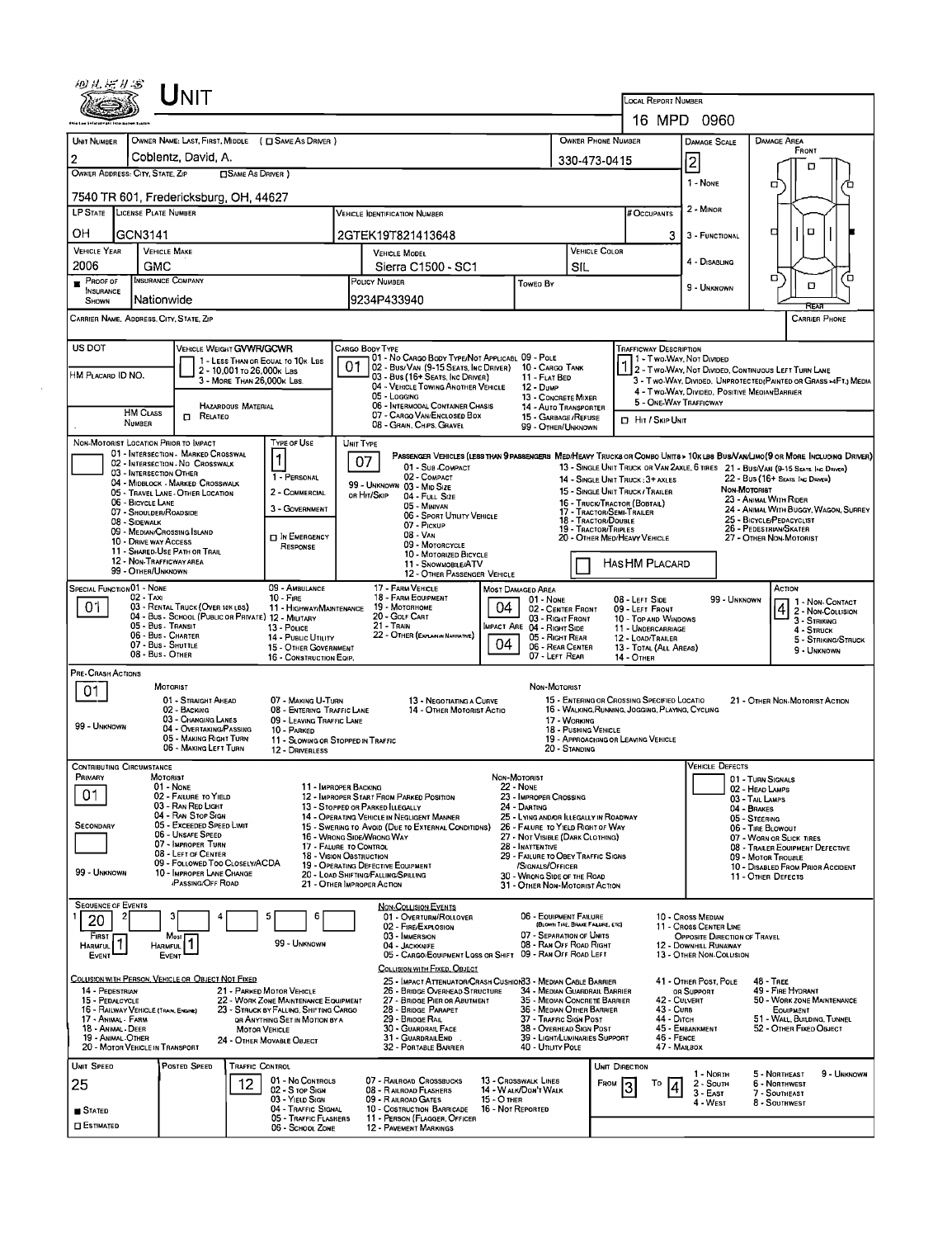|                                                        | $\sf U$ NIT                                                                             |                                                                                |                                                                                                                                                                              |                                                                                                          |                                  |                                                                       |                                                                                                                                                              |                                                                                                                                               |                                                                                                                  |                                                                                                                                |             |  |  |
|--------------------------------------------------------|-----------------------------------------------------------------------------------------|--------------------------------------------------------------------------------|------------------------------------------------------------------------------------------------------------------------------------------------------------------------------|----------------------------------------------------------------------------------------------------------|----------------------------------|-----------------------------------------------------------------------|--------------------------------------------------------------------------------------------------------------------------------------------------------------|-----------------------------------------------------------------------------------------------------------------------------------------------|------------------------------------------------------------------------------------------------------------------|--------------------------------------------------------------------------------------------------------------------------------|-------------|--|--|
|                                                        |                                                                                         |                                                                                |                                                                                                                                                                              |                                                                                                          |                                  |                                                                       |                                                                                                                                                              | LOCAL REPORT NUMBER                                                                                                                           | 16 MPD 0960                                                                                                      |                                                                                                                                |             |  |  |
|                                                        | OWNER NAME: LAST, FIRST, MIDDLE ( C SAME AS DRIVER )                                    |                                                                                |                                                                                                                                                                              |                                                                                                          |                                  |                                                                       | <b>OWNER PHONE NUMBER</b>                                                                                                                                    |                                                                                                                                               |                                                                                                                  |                                                                                                                                |             |  |  |
| UNIT NUMBER<br>$\overline{2}$                          | Coblentz, David, A.                                                                     |                                                                                |                                                                                                                                                                              |                                                                                                          |                                  |                                                                       |                                                                                                                                                              |                                                                                                                                               | <b>DAMAGE SCALE</b>                                                                                              | <b>DAMAGE AREA</b><br>FRONT                                                                                                    |             |  |  |
| OWNER ADDRESS: CITY, STATE, ZIP                        | <b>CISAME AS DRIVER</b> )                                                               |                                                                                |                                                                                                                                                                              |                                                                                                          |                                  |                                                                       | 330-473-0415                                                                                                                                                 |                                                                                                                                               | 2                                                                                                                | о                                                                                                                              |             |  |  |
|                                                        | 7540 TR 601, Fredericksburg, OH, 44627                                                  |                                                                                |                                                                                                                                                                              |                                                                                                          |                                  |                                                                       |                                                                                                                                                              |                                                                                                                                               | 1 - None                                                                                                         | 0                                                                                                                              |             |  |  |
| LP STATE LICENSE PLATE NUMBER                          |                                                                                         |                                                                                | <b>VEHICLE IDENTIFICATION NUMBER</b>                                                                                                                                         |                                                                                                          |                                  |                                                                       |                                                                                                                                                              | # Occupants                                                                                                                                   | 2 - MINOR                                                                                                        |                                                                                                                                |             |  |  |
| OН<br>GCN3141                                          |                                                                                         |                                                                                |                                                                                                                                                                              | 2GTEK19T821413648                                                                                        |                                  |                                                                       |                                                                                                                                                              | 3                                                                                                                                             | 3 - FUNCTIONAL                                                                                                   | O<br>п                                                                                                                         |             |  |  |
| <b>VEHICLE YEAR</b>                                    | <b>VEHICLE MAKE</b>                                                                     |                                                                                | <b>VEHICLE MODEL</b>                                                                                                                                                         |                                                                                                          |                                  | <b>VEHICLE COLOR</b>                                                  |                                                                                                                                                              | 4 - DISABLING                                                                                                                                 |                                                                                                                  |                                                                                                                                |             |  |  |
| 2006<br>$P_{\text{ROOF OF}}$                           | GMC<br><b>INSURANCE COMPANY</b>                                                         | Sierra C1500 - SC1<br>POLICY NUMBER                                            |                                                                                                                                                                              |                                                                                                          |                                  | SIL                                                                   |                                                                                                                                                              |                                                                                                                                               | п                                                                                                                | ם'                                                                                                                             |             |  |  |
| <b>INSURANCE</b><br>SHOWN                              | Nationwide                                                                              | Toweo By<br>9234P433940                                                        |                                                                                                                                                                              |                                                                                                          |                                  |                                                                       |                                                                                                                                                              | 9 - UNKNOWN                                                                                                                                   | D<br>Rrv                                                                                                         |                                                                                                                                |             |  |  |
| CARRIER NAME, ADDRESS, CITY, STATE, ZIP                |                                                                                         |                                                                                |                                                                                                                                                                              |                                                                                                          |                                  |                                                                       |                                                                                                                                                              |                                                                                                                                               |                                                                                                                  | <b>CARRIER PHONE</b>                                                                                                           |             |  |  |
| US DOT                                                 | <b>VEHICLE WEIGHT GVWR/GCWR</b>                                                         |                                                                                | Cargo Body Type                                                                                                                                                              |                                                                                                          |                                  |                                                                       |                                                                                                                                                              | <b>TRAFFICWAY DESCRIPTION</b>                                                                                                                 |                                                                                                                  |                                                                                                                                |             |  |  |
| HM PLACARD ID NO.                                      | 1 - LESS THAN OR EQUAL TO 10K LBS<br>2 - 10,001 To 26,000x Las                          |                                                                                | 01                                                                                                                                                                           | 01 - No CARGO BODY TYPE/NOT APPLICABL 09 - POLE<br>02 - Bus/Van (9-15 Seats, Inc Driver) 10 - Cargo Tank |                                  | 11 - FLAT BED                                                         |                                                                                                                                                              |                                                                                                                                               |                                                                                                                  | 1 - Two Way, Not Divided<br>1 2 - Two Way, Not Divided, Continuous Left Turn Lane                                              |             |  |  |
|                                                        | 3 - MORE THAN 26.000K LBS                                                               |                                                                                | 03 - Bus (16+ SEATS, INC DRIVER)<br>04 - VEHICLE TOWING ANOTHER VEHICLE<br>12 - Dump<br>05 - Logging                                                                         |                                                                                                          |                                  |                                                                       |                                                                                                                                                              |                                                                                                                                               | 3 - Two-WAY, DIVIDED, UNPROTECTED(PAINTED OR GRASS >4FT.) MEDIA<br>4 - Two-Way, Divided, Positive Median Barrier |                                                                                                                                |             |  |  |
| HM CLASS                                               | <b>HAZARDOUS MATERIAL</b><br><b>D</b> RELATED                                           |                                                                                | 06 - INTERMODAL CONTAINER CHASIS                                                                                                                                             |                                                                                                          |                                  | 15 - GARBAGE / REFUSE                                                 | 13 - CONCRETE MIXER<br><b>14 - AUTO TRANSPORTER</b>                                                                                                          |                                                                                                                                               | 5 - ONE-WAY TRAFFICWAY                                                                                           |                                                                                                                                |             |  |  |
| <b>NUMBER</b>                                          |                                                                                         |                                                                                | 07 - CARGO VAN/ENCLOSED BOX<br>08 - GRAIN, CHIPS, GRAVEL                                                                                                                     |                                                                                                          |                                  |                                                                       | 99 - OTHER/UNKNOWN                                                                                                                                           | <b>D</b> HIT / SKIP UNIT                                                                                                                      |                                                                                                                  |                                                                                                                                |             |  |  |
| NON-MOTORIST LOCATION PRIOR TO IMPACT                  | 01 - INTERSECTION MARKED CROSSWAL                                                       | Type of Use                                                                    | UNIT TYPE                                                                                                                                                                    |                                                                                                          |                                  |                                                                       |                                                                                                                                                              |                                                                                                                                               |                                                                                                                  | PASSENGER VEHICLES (LESS THAN 9 PASSENGERS MEDIHEAVY TRUCKS OR COMBO UNITS > 10K LBS BUS/VAN/LIMO (9 OR MORE INCLUDING DRIVER) |             |  |  |
|                                                        | 02 - INTERSECTION - NO CROSSWALK<br>03 - INTERSECTION OTHER                             | 1 - PERSONAL                                                                   | 07                                                                                                                                                                           | 01 - Sub COMPACT<br>02 - COMPACT                                                                         |                                  |                                                                       |                                                                                                                                                              |                                                                                                                                               |                                                                                                                  | 13 - SINGLE UNIT TRUCK OR VAN 2AXLE, 6 TIRES 21 - BUS/VAN (9-15 SEATS. INC DRIVER)                                             |             |  |  |
|                                                        | 04 - MIDBLOCK - MARKED CROSSWALK<br>05 - TRAVEL LANE - OTHER LOCATION                   | 2 - COMMERCIAL                                                                 | OR HIT/SKIP                                                                                                                                                                  | 99 - UNKNOWN 03 - MID SIZE<br>04 - FULL SIZE                                                             |                                  |                                                                       |                                                                                                                                                              | 22 - Bus (16+ Seats, Inc Driver)<br>14 - SINGLE UNIT TRUCK: 3+ AXLES<br><b><i><u>Мон-Мотоківт</u></i></b><br>15 - SINGLE UNIT TRUCK / TRAILER |                                                                                                                  |                                                                                                                                |             |  |  |
| 06 - BICYCLE LANE                                      | 07 - SHOULDER/ROADSIDE                                                                  | 3 - GOVERNMENT                                                                 |                                                                                                                                                                              | 05 - Minivan<br>06 - SPORT UTILITY VEHICLE                                                               |                                  |                                                                       | 17 - TRACTOR/SEMI-TRAILER                                                                                                                                    | 23 - ANIMAL WITH RIDER<br>16 - TRUCK/TRACTOR (BOBTAIL)<br>24 - ANIMAL WITH BUGGY, WAGON, SURREY                                               |                                                                                                                  |                                                                                                                                |             |  |  |
| 08 - SIDEWALK                                          | 09 - MEDIAN/CROSSING ISLAND                                                             | <b>DIN EMERGENCY</b>                                                           |                                                                                                                                                                              | 07 - Pickup<br>08 VAN                                                                                    |                                  |                                                                       | 25 - BICYCLE/PEDACYCLIST<br>18 - Tractor/Double<br>26 - PEDESTRIAN/SKATER<br>19 - TRACTOR/TRIPLES<br>20 - Other Med/Heavy Vehicle<br>27 - OTHER NON-MOTORIST |                                                                                                                                               |                                                                                                                  |                                                                                                                                |             |  |  |
| 10 - DRIVE WAY ACCESS                                  | 11 - Shared Use Path or Trail                                                           | RESPONSE                                                                       |                                                                                                                                                                              | 09 - MOTORCYCLE<br>10 - MOTORIZED BICYCLE                                                                |                                  |                                                                       |                                                                                                                                                              |                                                                                                                                               |                                                                                                                  |                                                                                                                                |             |  |  |
| 99 - OTHER/UNKNOWN                                     | 12 - NON TRAFFICWAY AREA                                                                |                                                                                |                                                                                                                                                                              | 11 - SNOWMOBILE/ATV<br>12 - OTHER PASSENGER VEHICLE                                                      |                                  |                                                                       |                                                                                                                                                              | HASHM PLACARD                                                                                                                                 |                                                                                                                  |                                                                                                                                |             |  |  |
| <b>SPECIAL FUNCTION 01 - NONE</b><br>02 - TAXI         |                                                                                         | 09 - AMBULANCE<br>$10 -$ Fire                                                  |                                                                                                                                                                              | 17 - FARM VEHICLE<br>18 - FARM EQUIPMENT                                                                 |                                  | <b>MOST DAMAGED AREA</b><br>01 - None                                 |                                                                                                                                                              | 08 - LEFT SIDE                                                                                                                                | 99 - UNKNOWN                                                                                                     | Астюм<br>1 - NON-CONTACT                                                                                                       |             |  |  |
| 01                                                     | 03 - RENTAL TRUCK (OVER 10K LBS)<br>04 - Bus - SCHOOL (PUBLIC OR PRIVATE) 12 - MILITARY | 11 - HIGHWAY/MAINTENANCE                                                       |                                                                                                                                                                              | 19 - Мотовноме<br>20 - GOLF CART                                                                         | 04.                              | 02 - CENTER FRONT<br>03 - RIGHT FRONT                                 |                                                                                                                                                              | 09 - LEFT FRONT<br>10 - TOP AND WINDOWS                                                                                                       |                                                                                                                  | $\left  4 \right $ 2 - Non-Collision<br>3 - STRIKING                                                                           |             |  |  |
|                                                        | 05 - Bus - Transit<br>06 - Bus - CHARTER                                                | 13 - Pouce<br>14 - Pusuc Unury                                                 |                                                                                                                                                                              | 21 - Train<br>22 - OTHER (EXPLAIN IN NARRATIVE)                                                          |                                  | MPACT ARE 04 - RIGHT SIDE<br>05 - Right Rear                          |                                                                                                                                                              | 11 - UNDERCARRIAGE<br>12 - LOAD/TRAILER                                                                                                       |                                                                                                                  | 4 - STRUCK<br>5 - STRIKING/STRUCK                                                                                              |             |  |  |
|                                                        | 07 - Bus - SHUTTLE<br>08 - Bus - OTHER                                                  | 15 - OTHER GOVERNMENT<br>16 - CONSTRUCTION EQIP.                               |                                                                                                                                                                              |                                                                                                          | 04                               | 06 - REAR CENTER<br>07 - LEFT REAR                                    |                                                                                                                                                              | 13 - TOTAL (ALL AREAS)<br>14 - OTHER                                                                                                          |                                                                                                                  | 9 - UNKNOWN                                                                                                                    |             |  |  |
| PRE-CRASH ACTIONS                                      |                                                                                         |                                                                                |                                                                                                                                                                              |                                                                                                          |                                  |                                                                       |                                                                                                                                                              |                                                                                                                                               |                                                                                                                  |                                                                                                                                |             |  |  |
| 01                                                     | MOTORIST<br>01 - STRAIGHT AHEAD                                                         | 07 - MAKING U-TURN                                                             |                                                                                                                                                                              | 13 - NEGOTIATING A CURVE                                                                                 |                                  | NON-MOTORIST                                                          |                                                                                                                                                              | 15 - ENTERING OR CROSSING SPECIFIED LOCATIO                                                                                                   |                                                                                                                  | 21 - OTHER NON-MOTORIST ACTION                                                                                                 |             |  |  |
|                                                        | 02 - BACKING<br>03 - CHANGING LANES                                                     | 09 - LEAVING TRAFFIC LANE                                                      | 08 - ENTERING TRAFFIC LANE<br>14 - OTHER MOTORIST ACTIO<br>17 - WORKING                                                                                                      |                                                                                                          |                                  |                                                                       |                                                                                                                                                              |                                                                                                                                               | 16 - WALKING, RUNNING, JOGGING, PLAYING, CYCLING                                                                 |                                                                                                                                |             |  |  |
| 99 - UNKNOWN                                           | 04 - OVERTAKING/PASSING<br>05 - MAKING RIGHT TURN                                       | 10 - PARKED                                                                    | 18 - PUSHING VEHICLE<br>11 - SLOWING OR STOPPED IN TRAFFIC                                                                                                                   |                                                                                                          |                                  |                                                                       |                                                                                                                                                              | 19 - APPROACHING OR LEAVING VEHICLE                                                                                                           |                                                                                                                  |                                                                                                                                |             |  |  |
|                                                        | 06 - MAKING LEFT TURN                                                                   | 12 - DRIVERLESS                                                                |                                                                                                                                                                              |                                                                                                          |                                  |                                                                       | 20 - Standing                                                                                                                                                |                                                                                                                                               | <b>VEHICLE DEFECTS</b>                                                                                           |                                                                                                                                |             |  |  |
| <b>CONTRIBUTING CIRCUMSTANCE</b><br>PRIMARY            | MOTORIST                                                                                |                                                                                |                                                                                                                                                                              |                                                                                                          |                                  | NON-MOTORIST                                                          |                                                                                                                                                              |                                                                                                                                               |                                                                                                                  | 01 - TURN SIGNALS                                                                                                              |             |  |  |
| 01                                                     | 01 - NONE<br>02 - FAILURE TO YIELD<br>03 - RAN RED LIGHT                                |                                                                                | 11 - IMPROPER BACKING                                                                                                                                                        | 12 - IMPROPER START FROM PARKED POSITION                                                                 |                                  | <b>22 - NONE</b><br>23 - IMPROPER CROSSING                            |                                                                                                                                                              |                                                                                                                                               |                                                                                                                  | 02 - HEAD LAMPS<br>03 - TAIL LAMPS                                                                                             |             |  |  |
| SECONDARY                                              | 04 - RAN STOP SIGN<br>05 - Exceeded Speed Limit                                         |                                                                                | 13 - STOPPED OR PARKED ILLEGALLY                                                                                                                                             | 14 - OPERATING VEHICLE IN NEGLIGENT MANNER                                                               |                                  | 24 - DARTING<br>25 - LYING AND/OR ILLEGALLY IN ROADWAY                |                                                                                                                                                              |                                                                                                                                               |                                                                                                                  | 04 - BRAKES<br>05 - STEERING                                                                                                   |             |  |  |
|                                                        | 06 - Unsafe Speed<br>07 - IMPROPER TURN                                                 |                                                                                | 16 - WRONG SIDE/WRONG WAY                                                                                                                                                    | 15 - Swering to Avoid (Due to External Conditions)                                                       |                                  | 26 - FALURE TO YIELD RIGHT OF WAY<br>27 - NOT VISIBLE (DARK CLOTHING) |                                                                                                                                                              |                                                                                                                                               |                                                                                                                  | 06 - TIRE BLOWOUT<br>07 - WORN OR SLICK TIRES                                                                                  |             |  |  |
|                                                        | 08 - LEFT OF CENTER<br>09 - FOLLOWED TOO CLOSELY/ACDA                                   |                                                                                | 17 - FALURE TO CONTROL<br>28 - INATTENTIVE<br><b>18 - VISION OBSTRUCTION</b><br>29 - FAILURE TO OBEY TRAFFIC SIGNS<br>19 - OPERATING DEFECTIVE EQUIPMENT<br>/SIGNALS/OFFICER |                                                                                                          |                                  |                                                                       |                                                                                                                                                              |                                                                                                                                               | 08 - TRAILER EQUIPMENT DEFECTIVE<br>09 - MOTOR TROUBLE                                                           |                                                                                                                                |             |  |  |
| 99 - UNKNOWN                                           | 10 - IMPROPER LANE CHANGE<br><b>PASSING/OFF ROAD</b>                                    |                                                                                | 20 - LOAD SHIFTING/FALLING/SPILLING<br>21 - OTHER IMPROPER ACTION                                                                                                            |                                                                                                          |                                  | 30 - WRONG SIDE OF THE ROAD<br>31 - OTHER NON-MOTORIST ACTION         |                                                                                                                                                              |                                                                                                                                               |                                                                                                                  | 10 - DISABLED FROM PRIOR ACCIDENT<br>11 - OTHER DEFECTS                                                                        |             |  |  |
| <b>SEQUENCE OF EVENTS</b>                              |                                                                                         |                                                                                |                                                                                                                                                                              | <b>NON-COLLISION EVENTS</b>                                                                              |                                  |                                                                       |                                                                                                                                                              |                                                                                                                                               |                                                                                                                  |                                                                                                                                |             |  |  |
| 20                                                     |                                                                                         | 5<br>6                                                                         |                                                                                                                                                                              | 01 - OVERTURN/ROLLOVER<br>02 - FIRE/EXPLOSION                                                            |                                  | 06 - EQUIPMENT FAILURE                                                | (BLOWN TIRE, BRAKE FAILURE, ETC)                                                                                                                             |                                                                                                                                               | 10 - Cross Median<br>11 - Cross CENTER LINE                                                                      |                                                                                                                                |             |  |  |
| FIRST<br><b>HARMFUL</b>                                | Most<br>HARMFUL <sup>1</sup>                                                            | 99 - UNKNOWN                                                                   |                                                                                                                                                                              | 03 - IMMERSION<br>04 - JACKKNIFE                                                                         |                                  | 07 - Separation of Units<br>08 - RAN OFF ROAD RIGHT                   |                                                                                                                                                              |                                                                                                                                               | <b>OPPOSITE DIRECTION OF TRAVEL</b><br>12 - DOWNHILL RUNAWAY                                                     |                                                                                                                                |             |  |  |
| EVENT                                                  | EVENT                                                                                   |                                                                                |                                                                                                                                                                              | 05 - CARGO/EOUIPMENT LOSS OR SHIFT 09 - RAN OFF ROAD LEFT<br>COLLISION WITH FIXED, OBJECT                |                                  |                                                                       |                                                                                                                                                              |                                                                                                                                               | 13 - OTHER NON-COLLISION                                                                                         |                                                                                                                                |             |  |  |
| 14 - PEDESTRIAN                                        | COLLISION WITH PERSON, VEHICLE OR OBJECT NOT FIXED                                      | 21 - PARKED MOTOR VEHICLE                                                      |                                                                                                                                                                              | 25 - IMPACT ATTENUATOR/CRASH CUSHION33 - MEDIAN CABLE BARRIER<br>26 - BRIDGE OVERHEAD STRUCTURE          |                                  | 34 - MEDIAN GUARDRAIL BARRIER                                         |                                                                                                                                                              |                                                                                                                                               | 41 - OTHER POST, POLE                                                                                            | <b>48 - TREE</b><br>49 - FIRE HYDRANT                                                                                          |             |  |  |
| 15 - PEDALCYCLE<br>16 - RAILWAY VEHICLE (TRAN, ENGINE) |                                                                                         | 22 - WORK ZONE MAINTENANCE EQUIPMENT<br>23 - STRUCK BY FALLING, SHIFTING CARGO |                                                                                                                                                                              | 27 - BRIDGE PIER OR ABUTMENT<br>28 - BRIDGE PARAPET                                                      |                                  | 35 - MEQIAN CONCRETE BARRIER<br>36 - MEDIAN OTHER BARRIER             |                                                                                                                                                              |                                                                                                                                               | OR SUPPORT<br>42 - Culvert<br><b>43 - Cura</b>                                                                   | 50 - WORK ZONE MAINTENANCE<br>EQUIPMENT                                                                                        |             |  |  |
| 17 - Animal - Farm<br>18 - Animal - Deer               | <b>MOTOR VEHICLE</b>                                                                    | OR ANYTHING SET IN MOTION BY A                                                 |                                                                                                                                                                              | 29 - BRIDGE RAIL<br>30 - GUARDRAIL FACE                                                                  |                                  | 37 - TRAFFIC SIGN POST<br>38 - OVERHEAD SIGN POST                     |                                                                                                                                                              |                                                                                                                                               | 44 - Олсн<br>45 - EMBANKMENT                                                                                     | 51 - WALL, BUILDING, TUNNEL<br>52 - OTHER FIXED OBJECT                                                                         |             |  |  |
| 19 - Animal Other<br>20 - MOTOR VEHICLE IN TRANSPORT   |                                                                                         | 24 - OTHER MOVABLE OBJECT                                                      |                                                                                                                                                                              | 31 - GUARDRAILEND<br>32 - PORTABLE BARRIER                                                               |                                  | 39 - LIGHT/LUMINARIES SUPPORT<br>40 - UTIUTY POLE                     |                                                                                                                                                              |                                                                                                                                               | <b>46 - FENCE</b><br>47 - MAILBOX                                                                                |                                                                                                                                |             |  |  |
| UNIT SPEED                                             | POSTED SPEED<br><b>TRAFFIC CONTROL</b>                                                  |                                                                                |                                                                                                                                                                              |                                                                                                          |                                  |                                                                       |                                                                                                                                                              | UNIT DIRECTION                                                                                                                                | 1 - North                                                                                                        | 5 - Northeast                                                                                                                  | 9 - UNKNOWN |  |  |
| 25                                                     | 12                                                                                      | 01 - No CONTROLS<br>02 - S top Sign                                            |                                                                                                                                                                              | 07 - RAILROAD CROSSBUCKS<br>08 - RAILROAD FLASHERS                                                       |                                  | 13 - Crosswalk Lines<br>14 - WALK/DON'T WALK                          | FROM                                                                                                                                                         | То<br>3                                                                                                                                       | $2 -$ South<br>$3 - EAST$                                                                                        | 6 - Northwest<br>7 - Southeast                                                                                                 |             |  |  |
| <b>STATED</b>                                          |                                                                                         | 03 - YIELD SIGN<br>04 - TRAFFIC SIGNAL                                         |                                                                                                                                                                              | 09 - R AILROAD GATES<br>10 - COSTRUCTION BARRICADE                                                       | 15 - O THER<br>16 - Not Reported |                                                                       |                                                                                                                                                              |                                                                                                                                               | 4 - West                                                                                                         | 8 - SOUTHWEST                                                                                                                  |             |  |  |
| <b>O</b> ESTIMATED                                     |                                                                                         | 05 - TRAFFIC FLASHERS<br>06 - SCHOOL ZONE                                      |                                                                                                                                                                              | 11 - PERSON (FLAGGER, OFFICER<br><b>12 - PAVEMENT MARKINGS</b>                                           |                                  |                                                                       |                                                                                                                                                              |                                                                                                                                               |                                                                                                                  |                                                                                                                                |             |  |  |